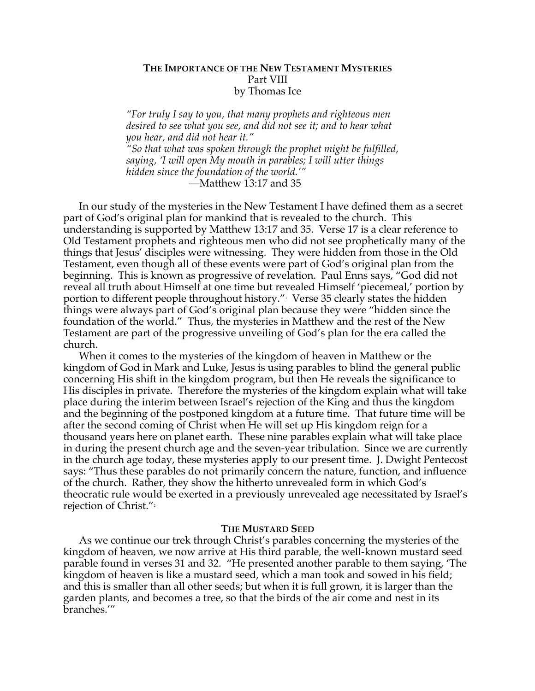## **THE IMPORTANCE OF THE NEW TESTAMENT MYSTERIES** Part VIII by Thomas Ice

*"For truly I say to you, that many prophets and righteous men desired to see what you see, and did not see it; and to hear what you hear, and did not hear it."*

*"So that what was spoken through the prophet might be fulfilled, saying, 'I will open My mouth in parables; I will utter things hidden since the foundation of the world.'"* —Matthew 13:17 and 35

In our study of the mysteries in the New Testament I have defined them as a secret part of God's original plan for mankind that is revealed to the church. This understanding is supported by Matthew 13:17 and 35. Verse 17 is a clear reference to Old Testament prophets and righteous men who did not see prophetically many of the things that Jesus' disciples were witnessing. They were hidden from those in the Old Testament, even though all of these events were part of God's original plan from the beginning. This is known as progressive of revelation. Paul Enns says, "God did not reveal all truth about Himself at one time but revealed Himself 'piecemeal,' portion by portion to different people throughout history."1 Verse 35 clearly states the hidden things were always part of God's original plan because they were "hidden since the foundation of the world." Thus, the mysteries in Matthew and the rest of the New Testament are part of the progressive unveiling of God's plan for the era called the church.

When it comes to the mysteries of the kingdom of heaven in Matthew or the kingdom of God in Mark and Luke, Jesus is using parables to blind the general public concerning His shift in the kingdom program, but then He reveals the significance to His disciples in private. Therefore the mysteries of the kingdom explain what will take place during the interim between Israel's rejection of the King and thus the kingdom and the beginning of the postponed kingdom at a future time. That future time will be after the second coming of Christ when He will set up His kingdom reign for a thousand years here on planet earth. These nine parables explain what will take place in during the present church age and the seven-year tribulation. Since we are currently in the church age today, these mysteries apply to our present time. J. Dwight Pentecost says: "Thus these parables do not primarily concern the nature, function, and influence of the church. Rather, they show the hitherto unrevealed form in which God's theocratic rule would be exerted in a previously unrevealed age necessitated by Israel's rejection of Christ."<sup>2</sup>

## **THE MUSTARD SEED**

As we continue our trek through Christ's parables concerning the mysteries of the kingdom of heaven, we now arrive at His third parable, the well-known mustard seed parable found in verses 31 and 32. "He presented another parable to them saying, 'The kingdom of heaven is like a mustard seed, which a man took and sowed in his field; and this is smaller than all other seeds; but when it is full grown, it is larger than the garden plants, and becomes a tree, so that the birds of the air come and nest in its branches.'"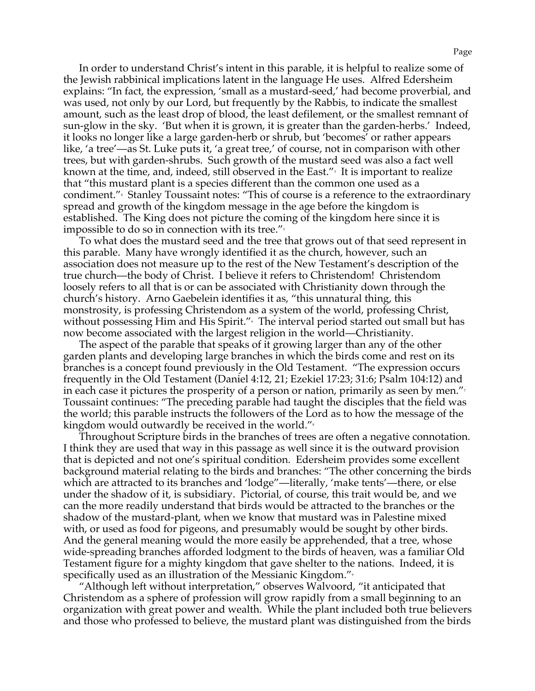In order to understand Christ's intent in this parable, it is helpful to realize some of the Jewish rabbinical implications latent in the language He uses. Alfred Edersheim explains: "In fact, the expression, 'small as a mustard-seed,' had become proverbial, and was used, not only by our Lord, but frequently by the Rabbis, to indicate the smallest amount, such as the least drop of blood, the least defilement, or the smallest remnant of sun-glow in the sky. 'But when it is grown, it is greater than the garden-herbs.' Indeed, it looks no longer like a large garden-herb or shrub, but 'becomes' or rather appears like, 'a tree'—as St. Luke puts it, 'a great tree,' of course, not in comparison with other trees, but with garden-shrubs. Such growth of the mustard seed was also a fact well known at the time, and, indeed, still observed in the East."<sup>。</sup>It is important to realize that "this mustard plant is a species different than the common one used as a condiment."4 Stanley Toussaint notes: "This of course is a reference to the extraordinary spread and growth of the kingdom message in the age before the kingdom is established. The King does not picture the coming of the kingdom here since it is impossible to do so in connection with its tree."<sup>5</sup>

To what does the mustard seed and the tree that grows out of that seed represent in this parable. Many have wrongly identified it as the church, however, such an association does not measure up to the rest of the New Testament's description of the true church—the body of Christ. I believe it refers to Christendom! Christendom loosely refers to all that is or can be associated with Christianity down through the church's history. Arno Gaebelein identifies it as, "this unnatural thing, this monstrosity, is professing Christendom as a system of the world, professing Christ, without possessing Him and His Spirit."6 The interval period started out small but has now become associated with the largest religion in the world—Christianity.

The aspect of the parable that speaks of it growing larger than any of the other garden plants and developing large branches in which the birds come and rest on its branches is a concept found previously in the Old Testament. "The expression occurs frequently in the Old Testament (Daniel 4:12, 21; Ezekiel 17:23; 31:6; Psalm 104:12) and in each case it pictures the prosperity of a person or nation, primarily as seen by men." $^{\prime}$ Toussaint continues: "The preceding parable had taught the disciples that the field was the world; this parable instructs the followers of the Lord as to how the message of the kingdom would outwardly be received in the world."

Throughout Scripture birds in the branches of trees are often a negative connotation. I think they are used that way in this passage as well since it is the outward provision that is depicted and not one's spiritual condition. Edersheim provides some excellent background material relating to the birds and branches: "The other concerning the birds which are attracted to its branches and 'lodge"—literally, 'make tents'—there, or else under the shadow of it, is subsidiary. Pictorial, of course, this trait would be, and we can the more readily understand that birds would be attracted to the branches or the shadow of the mustard-plant, when we know that mustard was in Palestine mixed with, or used as food for pigeons, and presumably would be sought by other birds. And the general meaning would the more easily be apprehended, that a tree, whose wide-spreading branches afforded lodgment to the birds of heaven, was a familiar Old Testament figure for a mighty kingdom that gave shelter to the nations. Indeed, it is specifically used as an illustration of the Messianic Kingdom."<sup>9</sup>

"Although left without interpretation," observes Walvoord, "it anticipated that Christendom as a sphere of profession will grow rapidly from a small beginning to an organization with great power and wealth. While the plant included both true believers and those who professed to believe, the mustard plant was distinguished from the birds